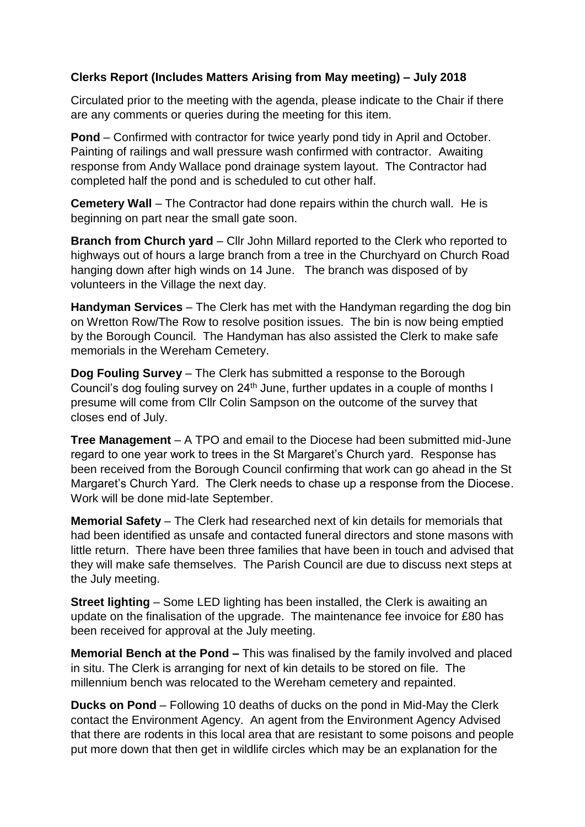## **Clerks Report (Includes Matters Arising from May meeting) – July 2018**

Circulated prior to the meeting with the agenda, please indicate to the Chair if there are any comments or queries during the meeting for this item.

**Pond** – Confirmed with contractor for twice yearly pond tidy in April and October. Painting of railings and wall pressure wash confirmed with contractor. Awaiting response from Andy Wallace pond drainage system layout. The Contractor had completed half the pond and is scheduled to cut other half.

**Cemetery Wall** – The Contractor had done repairs within the church wall. He is beginning on part near the small gate soon.

**Branch from Church yard** – Cllr John Millard reported to the Clerk who reported to highways out of hours a large branch from a tree in the Churchyard on Church Road hanging down after high winds on 14 June. The branch was disposed of by volunteers in the Village the next day.

**Handyman Services** – The Clerk has met with the Handyman regarding the dog bin on Wretton Row/The Row to resolve position issues. The bin is now being emptied by the Borough Council. The Handyman has also assisted the Clerk to make safe memorials in the Wereham Cemetery.

**Dog Fouling Survey** – The Clerk has submitted a response to the Borough Council's dog fouling survey on 24<sup>th</sup> June, further updates in a couple of months I presume will come from Cllr Colin Sampson on the outcome of the survey that closes end of July.

**Tree Management** – A TPO and email to the Diocese had been submitted mid-June regard to one year work to trees in the St Margaret's Church yard. Response has been received from the Borough Council confirming that work can go ahead in the St Margaret's Church Yard. The Clerk needs to chase up a response from the Diocese. Work will be done mid-late September.

**Memorial Safety** – The Clerk had researched next of kin details for memorials that had been identified as unsafe and contacted funeral directors and stone masons with little return. There have been three families that have been in touch and advised that they will make safe themselves. The Parish Council are due to discuss next steps at the July meeting.

**Street lighting** – Some LED lighting has been installed, the Clerk is awaiting an update on the finalisation of the upgrade. The maintenance fee invoice for £80 has been received for approval at the July meeting.

**Memorial Bench at the Pond –** This was finalised by the family involved and placed in situ. The Clerk is arranging for next of kin details to be stored on file. The millennium bench was relocated to the Wereham cemetery and repainted.

**Ducks on Pond** – Following 10 deaths of ducks on the pond in Mid-May the Clerk contact the Environment Agency. An agent from the Environment Agency Advised that there are rodents in this local area that are resistant to some poisons and people put more down that then get in wildlife circles which may be an explanation for the